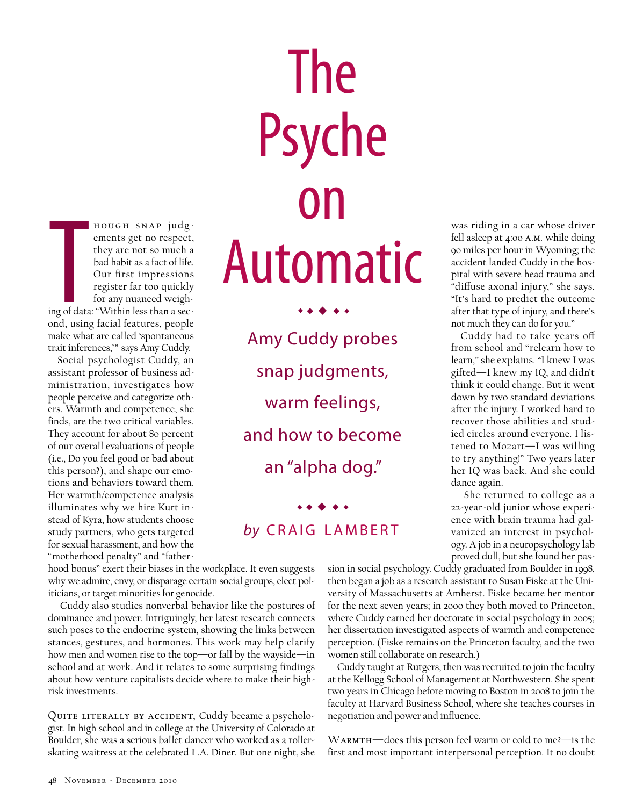stances, gestures, and hormones. This work may help clarify how men and women rise to the top—or fall by the wayside—in school and at work. And it relates to some surprising findings about how venture capitalists decide where to make their high-

risk investments.

iticians, or target minorities for genocide.

**THERE**<br>Trip of data<br>and, using

hough snap judgements get no respect, they are not so much a bad habit as a fact of life. Our first impressions register far too quickly for any nuanced weigh-

ing of data: "Within less than a second, using facial features, people make what are called 'spontaneous trait inferences,'" says Amy Cuddy. Social psychologist Cuddy, an assistant professor of business administration, investigates how people perceive and categorize others. Warmth and competence, she finds, are the two critical variables. They account for about 80 percent of our overall evaluations of people (i.e., Do you feel good or bad about this person?), and shape our emotions and behaviors toward them. Her warmth/competence analysis illuminates why we hire Kurt instead of Kyra, how students choose study partners, who gets targeted for sexual harassment, and how the "motherhood penalty" and "father-

QUITE LITERALLY BY ACCIDENT, Cuddy became a psychologist. In high school and in college at the University of Colorado at Boulder, she was a serious ballet dancer who worked as a rollerskating waitress at the celebrated L.A. Diner. But one night, she

hood bonus" exert their biases in the workplace. It even suggests why we admire, envy, or disparage certain social groups, elect pol-

 Cuddy also studies nonverbal behavior like the postures of dominance and power. Intriguingly, her latest research connects such poses to the endocrine system, showing the links between

The Psyche on Automatic

> Amy Cuddy probes snap judgments, warm feelings, and how to become an "alpha dog."

 $\rightarrow$  + + + +

## by CRAIG LAMBERT

 $\bullet\bullet\bullet\bullet\bullet$ 

was riding in a car whose driver fell asleep at 4:00 a.m. while doing 90 miles per hour in Wyoming; the accident landed Cuddy in the hospital with severe head trauma and "diffuse axonal injury," she says. "It's hard to predict the outcome after that type of injury, and there's not much they can do for you."

Cuddy had to take years off from school and "relearn how to learn," she explains. "I knew I was gifted—I knew my IQ, and didn't think it could change. But it went down by two standard deviations after the injury. I worked hard to recover those abilities and studied circles around everyone. I listened to Mozart—I was willing to try anything!" Two years later her IQ was back. And she could dance again.

 She returned to college as a 22-year-old junior whose experience with brain trauma had galvanized an interest in psychology. A job in a neuropsychology lab proved dull, but she found her pas-

sion in social psychology. Cuddy graduated from Boulder in 1998, then began a job as a research assistant to Susan Fiske at the University of Massachusetts at Amherst. Fiske became her mentor for the next seven years; in 2000 they both moved to Princeton, where Cuddy earned her doctorate in social psychology in 2005; her dissertation investigated aspects of warmth and competence perception. (Fiske remains on the Princeton faculty, and the two women still collaborate on research.)

Cuddy taught at Rutgers, then was recruited to join the faculty at the Kellogg School of Management at Northwestern. She spent two years in Chicago before moving to Boston in 2008 to join the faculty at Harvard Business School, where she teaches courses in negotiation and power and influence.

Warmth—does this person feel warm or cold to me?—is the first and most important interpersonal perception. It no doubt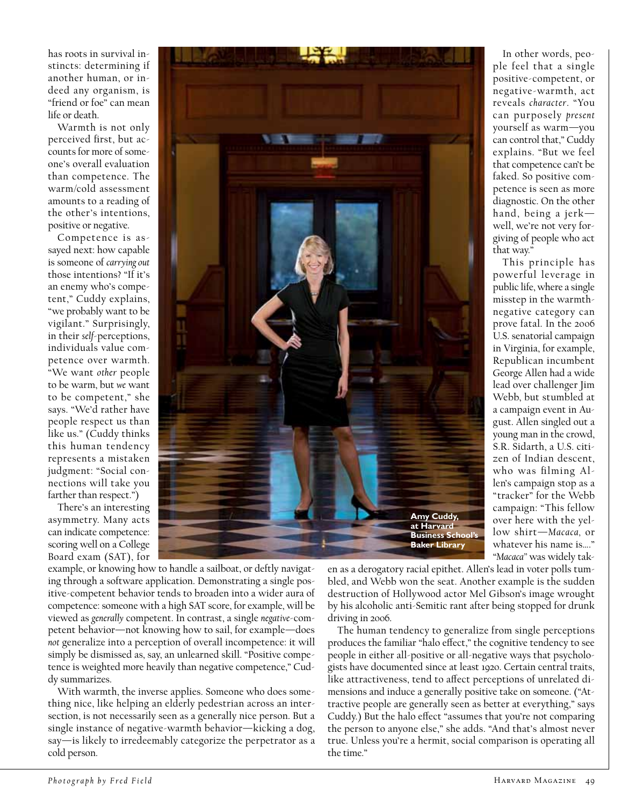has roots in survival instincts: determining if another human, or indeed any organism, is "friend or foe" can mean life or death.

Warmth is not only perceived first, but accounts for more of someone's overall evaluation than competence. The warm/cold assessment amounts to a reading of the other's intentions, positive or negative.

Competence is assayed next: how capable is someone of *carrying out* those intentions? "If it's an enemy who's competent," Cuddy explains, "we probably want to be vigilant." Surprisingly, in their *self*-perceptions, individuals value competence over warmth. "We want *other* people to be warm, but *we* want to be competent," she says. "We'd rather have people respect us than like us." (Cuddy thinks this human tendency represents a mistaken judgment: "Social connections will take you farther than respect.")

There's an interesting asymmetry. Many acts can indicate competence: scoring well on a College Board exam (SAT), for



In other words, people feel that a single positive-competent, or negative-warmth, act reveals *character*. "You can purposely *present* yourself as warm—you can control that," Cuddy explains. "But we feel that competence can't be faked. So positive competence is seen as more diagnostic. On the other hand, being a jerk well, we're not very forgiving of people who act that way."

This principle has powerful leverage in public life, where a single misstep in the warmthnegative category can prove fatal. In the 2006 U.S. senatorial campaign in Virginia, for example, Republican incumbent George Allen had a wide lead over challenger Jim Webb, but stumbled at a campaign event in August. Allen singled out a young man in the crowd, S.R. Sidarth, a U.S. citizen of Indian descent, who was filming Allen's campaign stop as a "tracker" for the Webb campaign: "This fellow over here with the yellow shirt—*Macaca,* or whatever his name is…." "*Macaca"* was widely tak-

example, or knowing how to handle a sailboat, or deftly navigating through a software application. Demonstrating a single positive-competent behavior tends to broaden into a wider aura of competence: someone with a high SAT score, for example, will be viewed as *generally* competent. In contrast, a single *negative*-competent behavior—not knowing how to sail, for example—does *not* generalize into a perception of overall incompetence: it will simply be dismissed as, say, an unlearned skill. "Positive competence is weighted more heavily than negative competence," Cuddy summarizes.

With warmth, the inverse applies. Someone who does something nice, like helping an elderly pedestrian across an intersection, is not necessarily seen as a generally nice person. But a single instance of negative-warmth behavior—kicking a dog, say—is likely to irredeemably categorize the perpetrator as a cold person.

en as a derogatory racial epithet. Allen's lead in voter polls tumbled, and Webb won the seat. Another example is the sudden destruction of Hollywood actor Mel Gibson's image wrought by his alcoholic anti-Semitic rant after being stopped for drunk driving in 2006.

The human tendency to generalize from single perceptions produces the familiar "halo effect," the cognitive tendency to see people in either all-positive or all-negative ways that psychologists have documented since at least 1920. Certain central traits, like attractiveness, tend to affect perceptions of unrelated dimensions and induce a generally positive take on someone. ("Attractive people are generally seen as better at everything," says Cuddy.) But the halo effect "assumes that you're not comparing the person to anyone else," she adds. "And that's almost never true. Unless you're a hermit, social comparison is operating all the time."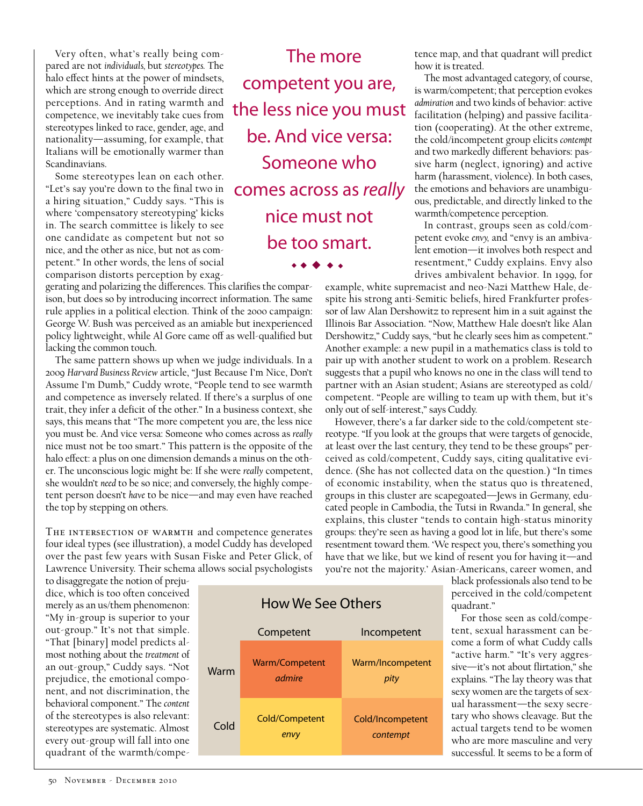Very often, what's really being compared are not *individuals,* but *stereotypes.* The halo effect hints at the power of mindsets, which are strong enough to override direct perceptions. And in rating warmth and competence, we inevitably take cues from stereotypes linked to race, gender, age, and nationality—assuming, for example, that Italians will be emotionally warmer than Scandinavians.

Some stereotypes lean on each other. "Let's say you're down to the final two in a hiring situation," Cuddy says. "This is where 'compensatory stereotyping' kicks in. The search committee is likely to see one candidate as competent but not so nice, and the other as nice, but not as competent." In other words, the lens of social comparison distorts perception by exag-

gerating and polarizing the differences. This clarifies the comparison, but does so by introducing incorrect information. The same rule applies in a political election. Think of the 2000 campaign: George W. Bush was perceived as an amiable but inexperienced policy lightweight, while Al Gore came off as well-qualified but lacking the common touch.

The same pattern shows up when we judge individuals. In a 2009 *Harvard Business Review* article, "Just Because I'm Nice, Don't Assume I'm Dumb," Cuddy wrote, "People tend to see warmth and competence as inversely related. If there's a surplus of one trait, they infer a deficit of the other." In a business context, she says, this means that "The more competent you are, the less nice you must be. And vice versa: Someone who comes across as *really* nice must not be too smart." This pattern is the opposite of the halo effect: a plus on one dimension demands a minus on the other. The unconscious logic might be: If she were *really* competent, she wouldn't *need* to be so nice; and conversely, the highly competent person doesn't *have* to be nice—and may even have reached the top by stepping on others.

THE INTERSECTION OF WARMTH and competence generates four ideal types (see illustration), a model Cuddy has developed over the past few years with Susan Fiske and Peter Glick, of Lawrence University. Their schema allows social psychologists

to disaggregate the notion of prejudice, which is too often conceived merely as an us/them phenomenon: "My in-group is superior to your out-group." It's not that simple. "That [binary] model predicts almost nothing about the *treatment* of an out-group," Cuddy says. "Not prejudice, the emotional component, and not discrimination, the behavioral component." The *content* of the stereotypes is also relevant: stereotypes are systematic. Almost every out-group will fall into one quadrant of the warmth/compe-

The more competent you are, the less nice you must be. And vice versa: Someone who comes across as *really* nice must not be too smart.

 $\bullet$   $\bullet$   $\bullet$ 

tence map, and that quadrant will predict how it is treated.

The most advantaged category, of course, is warm/competent; that perception evokes *admiration* and two kinds of behavior: active facilitation (helping) and passive facilitation (cooperating). At the other extreme, the cold/incompetent group elicits *contempt* and two markedly different behaviors: passive harm (neglect, ignoring) and active harm (harassment, violence). In both cases, the emotions and behaviors are unambiguous, predictable, and directly linked to the warmth/competence perception.

In contrast, groups seen as cold/competent evoke *envy,* and "envy is an ambivalent emotion—it involves both respect and resentment," Cuddy explains. Envy also drives ambivalent behavior. In 1999, for

example, white supremacist and neo-Nazi Matthew Hale, despite his strong anti-Semitic beliefs, hired Frankfurter professor of law Alan Dershowitz to represent him in a suit against the Illinois Bar Association. "Now, Matthew Hale doesn't like Alan Dershowitz," Cuddy says, "but he clearly sees him as competent." Another example: a new pupil in a mathematics class is told to pair up with another student to work on a problem. Research suggests that a pupil who knows no one in the class will tend to partner with an Asian student; Asians are stereotyped as cold/ competent. "People are willing to team up with them, but it's only out of self-interest," says Cuddy.

However, there's a far darker side to the cold/competent stereotype. "If you look at the groups that were targets of genocide, at least over the last century, they tend to be these groups" perceived as cold/competent, Cuddy says, citing qualitative evidence. (She has not collected data on the question.) "In times of economic instability, when the status quo is threatened, groups in this cluster are scapegoated—Jews in Germany, educated people in Cambodia, the Tutsi in Rwanda." In general, she explains, this cluster "tends to contain high-status minority groups: they're seen as having a good lot in life, but there's some resentment toward them. 'We respect you, there's something you have that we like, but we kind of resent you for having it—and you're not the majority.' Asian-Americans, career women, and

> black professionals also tend to be perceived in the cold/competent quadrant."

> For those seen as cold/competent, sexual harassment can become a form of what Cuddy calls "active harm." "It's very aggressive—it's not about flirtation," she explains. "The lay theory was that sexy women are the targets of sexual harassment—the sexy secretary who shows cleavage. But the actual targets tend to be women who are more masculine and very successful. It seems to be a form of

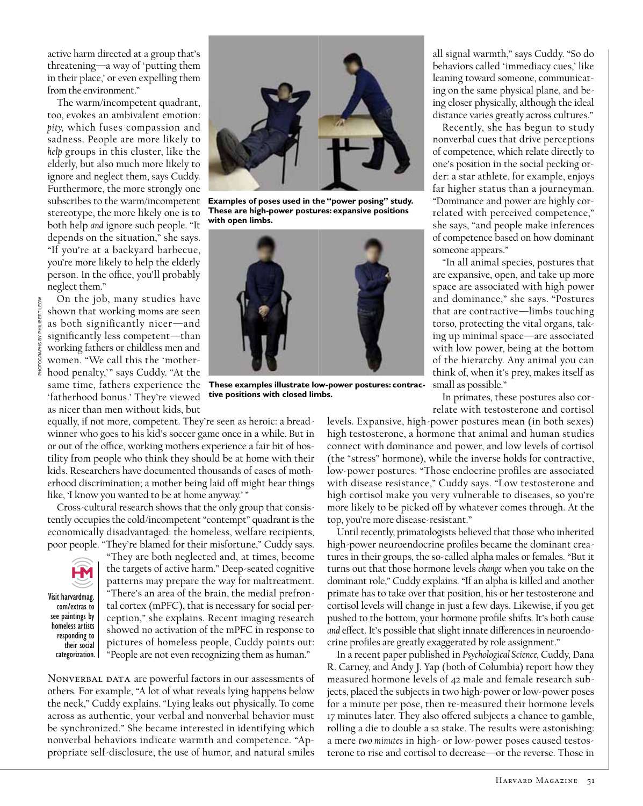active harm directed at a group that's threatening—a way of 'putting them in their place,' or even expelling them from the environment."

The warm/incompetent quadrant, too, evokes an ambivalent emotion: *pity,* which fuses compassion and sadness. People are more likely to *help* groups in this cluster, like the elderly, but also much more likely to ignore and neglect them, says Cuddy. Furthermore, the more strongly one subscribes to the warm/incompetent stereotype, the more likely one is to both help *and* ignore such people. "It depends on the situation," she says. "If you're at a backyard barbecue, you're more likely to help the elderly person. In the office, you'll probably neglect them."

On the job, many studies have shown that working moms are seen as both significantly nicer—and significantly less competent—than working fathers or childless men and women. "We call this the 'motherhood penalty," says Cuddy. "At the same time, fathers experience the 'fatherhood bonus.' They're viewed as nicer than men without kids, but

equally, if not more, competent. They're seen as heroic: a breadwinner who goes to his kid's soccer game once in a while. But in or out of the office, working mothers experience a fair bit of hostility from people who think they should be at home with their kids. Researchers have documented thousands of cases of motherhood discrimination; a mother being laid off might hear things like, 'I know you wanted to be at home anyway.' "

Cross-cultural research shows that the only group that consistently occupies the cold/incompetent "contempt" quadrant is the economically disadvantaged: the homeless, welfare recipients, poor people. "They're blamed for their misfortune," Cuddy says.



Visit harvardmag. com/extras to see paintings by homeless artists responding to their social categorization.

"They are both neglected and, at times, become the targets of active harm." Deep-seated cognitive patterns may prepare the way for maltreatment. "There's an area of the brain, the medial prefrontal cortex (mPFC), that is necessary for social perception," she explains. Recent imaging research showed no activation of the mPFC in response to pictures of homeless people, Cuddy points out: "People are not even recognizing them as human."

NONVERBAL DATA are powerful factors in our assessments of others. For example, "A lot of what reveals lying happens below the neck," Cuddy explains. "Lying leaks out physically. To come across as authentic, your verbal and nonverbal behavior must be synchronized." She became interested in identifying which nonverbal behaviors indicate warmth and competence. "Appropriate self-disclosure, the use of humor, and natural smiles



**Examples of poses used in the "power posing" study. These are high-power postures: expansive positions with open limbs.** 



**These examples illustrate low-power postures: contractive positions with closed limbs.**

all signal warmth," says Cuddy. "So do behaviors called 'immediacy cues,' like leaning toward someone, communicating on the same physical plane, and being closer physically, although the ideal distance varies greatly across cultures."

Recently, she has begun to study nonverbal cues that drive perceptions of competence, which relate directly to one's position in the social pecking order: a star athlete, for example, enjoys far higher status than a journeyman. "Dominance and power are highly correlated with perceived competence," she says, "and people make inferences of competence based on how dominant someone appears."

"In all animal species, postures that are expansive, open, and take up more space are associated with high power and dominance," she says. "Postures that are contractive—limbs touching torso, protecting the vital organs, taking up minimal space—are associated with low power, being at the bottom of the hierarchy. Any animal you can think of, when it's prey, makes itself as small as possible."

In primates, these postures also correlate with testosterone and cortisol

levels. Expansive, high-power postures mean (in both sexes) high testosterone, a hormone that animal and human studies connect with dominance and power, and low levels of cortisol (the "stress" hormone), while the inverse holds for contractive, low-power postures. "Those endocrine profiles are associated with disease resistance," Cuddy says. "Low testosterone and high cortisol make you very vulnerable to diseases, so you're more likely to be picked off by whatever comes through. At the top, you're more disease-resistant."

Until recently, primatologists believed that those who inherited high-power neuroendocrine profiles became the dominant creatures in their groups, the so-called alpha males or females. "But it turns out that those hormone levels *change* when you take on the dominant role," Cuddy explains. "If an alpha is killed and another primate has to take over that position, his or her testosterone and cortisol levels will change in just a few days. Likewise, if you get pushed to the bottom, your hormone profile shifts. It's both cause *and* effect. It's possible that slight innate differences in neuroendocrine profiles are greatly exaggerated by role assignment."

In a recent paper published in *Psychological Science,* Cuddy, Dana R. Carney, and Andy J. Yap (both of Columbia) report how they measured hormone levels of 42 male and female research subjects, placed the subjects in two high-power or low-power poses for a minute per pose, then re-measured their hormone levels 17 minutes later. They also offered subjects a chance to gamble, rolling a die to double a \$2 stake. The results were astonishing: a mere *two minutes* in high- or low-power poses caused testosterone to rise and cortisol to decrease—or the reverse. Those in